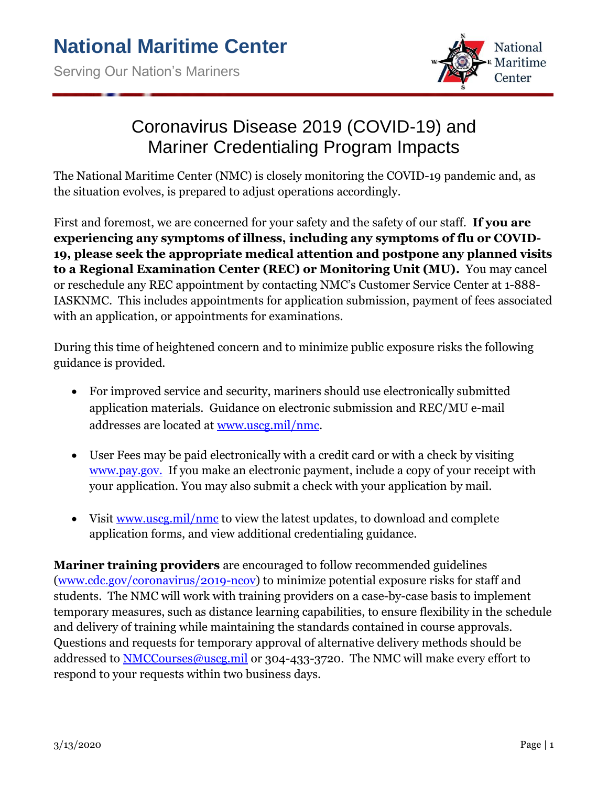

## Coronavirus Disease 2019 (COVID-19) and Mariner Credentialing Program Impacts

The National Maritime Center (NMC) is closely monitoring the COVID-19 pandemic and, as the situation evolves, is prepared to adjust operations accordingly.

First and foremost, we are concerned for your safety and the safety of our staff. **If you are experiencing any symptoms of illness, including any symptoms of flu or COVID-19, please seek the appropriate medical attention and postpone any planned visits to a Regional Examination Center (REC) or Monitoring Unit (MU).** You may cancel or reschedule any REC appointment by contacting NMC's Customer Service Center at 1-888- IASKNMC. This includes appointments for application submission, payment of fees associated with an application, or appointments for examinations.

During this time of heightened concern and to minimize public exposure risks the following guidance is provided.

- For improved service and security, mariners should use electronically submitted application materials. Guidance on electronic submission and REC/MU e-mail addresses are located at [www.uscg.mil/nmc.](http://www.uscg.mil/nmc)
- User Fees may be paid electronically with a credit card or with a check by visiting [www.pay.gov.](http://www.pay.gov./) If you make an electronic payment, include a copy of your receipt with your application. You may also submit a check with your application by mail.
- Visit [www.uscg.mil/nmc](http://www.uscg.mil/nmc) to view the latest updates, to download and complete application forms, and view additional credentialing guidance.

**Mariner training providers** are encouraged to follow recommended guidelines [\(www.cdc.gov/coronavirus/2019-ncov\)](http://www.cdc.gov/coronavirus/2019-ncov) to minimize potential exposure risks for staff and students. The NMC will work with training providers on a case-by-case basis to implement temporary measures, such as distance learning capabilities, to ensure flexibility in the schedule and delivery of training while maintaining the standards contained in course approvals. Questions and requests for temporary approval of alternative delivery methods should be addressed to **NMCCourses@uscg.mil** or 304-433-3720. The NMC will make every effort to respond to your requests within two business days.